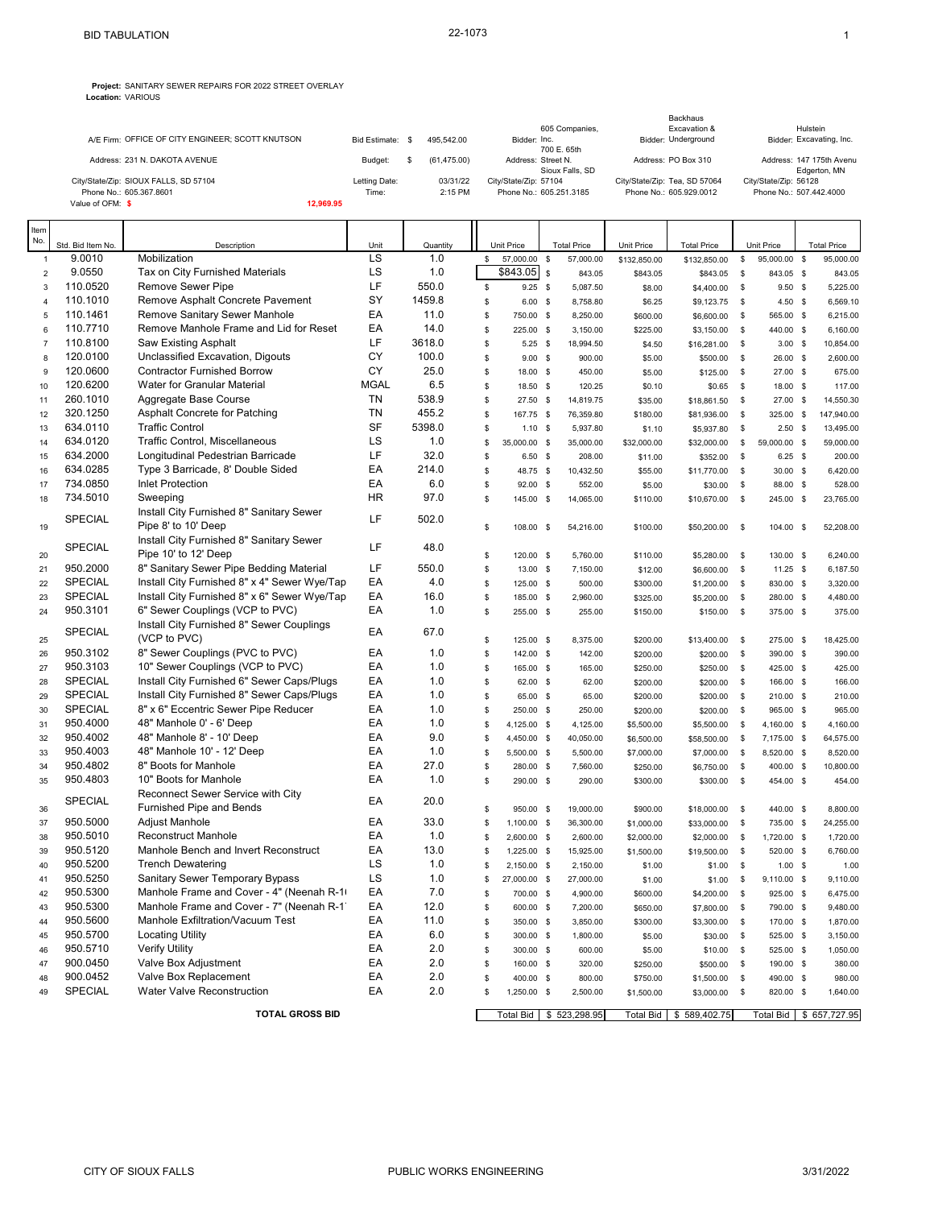**Project:** SANITARY SEWER REPAIRS FOR 2022 STREET OVERLAY **Location:** VARIOUS

|                                                  |                  |             | Backhaus                |                               |                          |  |  |
|--------------------------------------------------|------------------|-------------|-------------------------|-------------------------------|--------------------------|--|--|
|                                                  |                  |             | 605 Companies,          | Excavation &                  | Hulstein                 |  |  |
| A/E Firm: OFFICE OF CITY ENGINEER; SCOTT KNUTSON | Bid Estimate: \$ | 495.542.00  | Bidder: Inc.            | Bidder: Underground           | Bidder: Excavating, Inc. |  |  |
|                                                  |                  |             | 700 E. 65th             |                               |                          |  |  |
| Address: 231 N. DAKOTA AVENUE                    | Budget:          | (61.475.00) | Address: Street N.      | Address: PO Box 310           | Address: 147 175th Avenu |  |  |
|                                                  |                  |             | Sioux Falls, SD         |                               | Edgerton, MN             |  |  |
| City/State/Zip: SIOUX FALLS, SD 57104            | Letting Date:    | 03/31/22    | City/State/Zip: 57104   | City/State/Zip: Tea, SD 57064 | City/State/Zip: 56128    |  |  |
| Phone No.: 605.367.8601                          | Time:            | $2:15$ PM   | Phone No.: 605.251.3185 | Phone No.: 605.929.0012       | Phone No.: 507.442.4000  |  |  |
| Value of OFM: \$                                 | 12.969.95        |             |                         |                               |                          |  |  |

| Item<br>No.    |                      |                                                                   |             |             |          |                       |                           |              |                           |                   |                         |                           |
|----------------|----------------------|-------------------------------------------------------------------|-------------|-------------|----------|-----------------------|---------------------------|--------------|---------------------------|-------------------|-------------------------|---------------------------|
|                | Std. Bid Item No.    | Description                                                       | Unit        | Quantity    |          | Unit Price            | <b>Total Price</b>        | Unit Price   | <b>Total Price</b>        |                   | Unit Price              | <b>Total Price</b>        |
| $\mathbf{1}$   | 9.0010               | Mobilization                                                      | LS          | 1.0         | \$       | 57,000.00             | $\mathbb{S}$<br>57,000.00 | \$132,850.00 | \$132,850.00              | \$                | 95,000.00 \$            | 95,000.00                 |
| $\overline{2}$ | 9.0550               | Tax on City Furnished Materials                                   | LS          | 1.0         |          | \$843.05              | $\mathbb S$<br>843.05     | \$843.05     | \$843.05                  | $\mathbb S$       | 843.05 \$               | 843.05                    |
| 3              | 110.0520             | Remove Sewer Pipe                                                 | LF          | 550.0       | \$       | $9.25$ \$             | 5,087.50                  | \$8.00       | \$4,400.00                | \$                | $9.50$ \$               | 5,225.00                  |
| $\overline{4}$ | 110.1010             | Remove Asphalt Concrete Pavement                                  | SY          | 1459.8      | \$       | $6.00$ \$             | 8,758.80                  | \$6.25       | \$9,123.75                | \$                | $4.50$ \$               | 6,569.10                  |
| 5              | 110.1461             | Remove Sanitary Sewer Manhole                                     | EA          | 11.0        | \$       | 750.00 \$             | 8,250.00                  | \$600.00     | \$6,600.00                | \$                | 565.00 \$               | 6,215.00                  |
| 6              | 110.7710             | Remove Manhole Frame and Lid for Reset                            | EA<br>LF    | 14.0        | \$       | 225.00 \$             | 3,150.00                  | \$225.00     | \$3,150.00                | \$                | 440.00 \$               | 6,160.00                  |
| $\overline{7}$ | 110.8100             | <b>Saw Existing Asphalt</b>                                       | CY          | 3618.0      | \$       | $5.25$ \$             | 18,994.50                 | \$4.50       | \$16,281.00               | \$                | $3.00$ \$               | 10,854.00                 |
| 8              | 120.0100             | Unclassified Excavation, Digouts                                  | CY          | 100.0       | \$       | $9.00$ \$             | 900.00                    | \$5.00       | \$500.00                  | \$                | 26.00 \$                | 2,600.00                  |
| 9              | 120.0600<br>120.6200 | <b>Contractor Furnished Borrow</b><br>Water for Granular Material | <b>MGAL</b> | 25.0<br>6.5 | \$       | 18.00 \$              | 450.00                    | \$5.00       | \$125.00                  | \$                | 27.00 \$                | 675.00                    |
| 10             | 260.1010             | Aggregate Base Course                                             | TN          | 538.9       | \$<br>\$ | 18.50 \$              | 120.25                    | \$0.10       | \$0.65                    | \$                | 18.00 \$                | 117.00                    |
| 11<br>12       | 320.1250             | Asphalt Concrete for Patching                                     | <b>TN</b>   | 455.2       | \$       | 27.50 \$<br>167.75 \$ | 14,819.75<br>76,359.80    | \$35.00      | \$18,861.50               | \$<br>$\mathbb S$ | 27.00 \$<br>325.00 \$   | 14,550.30<br>147,940.00   |
| 13             | 634.0110             | <b>Traffic Control</b>                                            | <b>SF</b>   | 5398.0      | \$       |                       |                           | \$180.00     | \$81,936.00               |                   |                         |                           |
|                | 634.0120             | <b>Traffic Control, Miscellaneous</b>                             | LS          | 1.0         | \$       | 1.10S                 | 5,937.80                  | \$1.10       | \$5,937.80                | \$                | $2.50$ \$               | 13,495.00                 |
| 14             | 634.2000             | Longitudinal Pedestrian Barricade                                 | LF          | 32.0        | \$       | 35,000.00 \$          | 35,000.00                 | \$32,000.00  | \$32,000.00               | \$                | 59,000.00 \$            | 59,000.00                 |
| 15<br>16       | 634.0285             | Type 3 Barricade, 8' Double Sided                                 | EA          | 214.0       | \$       | $6.50$ \$<br>48.75 \$ | 208.00                    | \$11.00      | \$352.00<br>\$11,770.00   | \$<br>$\mathbb S$ | $6.25$ \$<br>$30.00$ \$ | 200.00<br>6,420.00        |
|                | 734.0850             | <b>Inlet Protection</b>                                           | EA          | 6.0         | \$       | 92.00 \$              | 10,432.50                 | \$55.00      |                           |                   | 88.00 \$                | 528.00                    |
| 17<br>18       | 734.5010             | Sweeping                                                          | <b>HR</b>   | 97.0        | \$       |                       | 552.00                    | \$5.00       | \$30.00                   | \$<br>\$          |                         | 23,765.00                 |
|                |                      | Install City Furnished 8" Sanitary Sewer                          |             |             |          | 145.00 \$             | 14,065.00                 | \$110.00     | \$10,670.00               |                   | 245.00 \$               |                           |
| 19             | <b>SPECIAL</b>       | Pipe 8' to 10' Deep                                               | LF          | 502.0       | \$       | 108.00 \$             | 54,216.00                 | \$100.00     | \$50,200.00               | \$                | 104.00 \$               | 52,208.00                 |
| 20             | <b>SPECIAL</b>       | Install City Furnished 8" Sanitary Sewer<br>Pipe 10' to 12' Deep  | LF          | 48.0        | \$       | 120.00 \$             | 5,760.00                  | \$110.00     | \$5,280.00                | \$                | 130.00 \$               | 6,240.00                  |
| 21             | 950.2000             | 8" Sanitary Sewer Pipe Bedding Material                           | LF          | 550.0       | \$       | 13.00 \$              | 7,150.00                  | \$12.00      | \$6,600.00                | \$                | $11.25$ \$              | 6,187.50                  |
| 22             | <b>SPECIAL</b>       | Install City Furnished 8" x 4" Sewer Wye/Tap                      | EA          | 4.0         | \$       | 125.00 \$             | 500.00                    | \$300.00     | \$1,200.00                | \$                | 830.00 \$               | 3,320.00                  |
| 23             | <b>SPECIAL</b>       | Install City Furnished 8" x 6" Sewer Wye/Tap                      | EA          | 16.0        | \$       | 185.00 \$             | 2,960.00                  | \$325.00     | \$5,200.00                | $\mathbb S$       | 280.00 \$               | 4,480.00                  |
| 24             | 950.3101             | 6" Sewer Couplings (VCP to PVC)                                   | EA          | 1.0         | \$       | 255.00 \$             | 255.00                    | \$150.00     | \$150.00                  | \$                | 375.00 \$               | 375.00                    |
| 25             | SPECIAL              | Install City Furnished 8" Sewer Couplings<br>(VCP to PVC)         | EA          | 67.0        | \$       | 125.00 \$             | 8,375.00                  | \$200.00     | \$13,400.00               | $\mathbb S$       | 275.00 \$               | 18,425.00                 |
| 26             | 950.3102             | 8" Sewer Couplings (PVC to PVC)                                   | EA          | 1.0         | \$       | 142.00 \$             | 142.00                    | \$200.00     | \$200.00                  | \$                | 390.00 \$               | 390.00                    |
| 27             | 950.3103             | 10" Sewer Couplings (VCP to PVC)                                  | EA          | 1.0         | \$       | 165.00 \$             | 165.00                    | \$250.00     | \$250.00                  | \$                | 425.00 \$               | 425.00                    |
| 28             | <b>SPECIAL</b>       | Install City Furnished 6" Sewer Caps/Plugs                        | EA          | 1.0         | \$       | 62.00 \$              | 62.00                     | \$200.00     | \$200.00                  | \$                | 166.00 \$               | 166.00                    |
| 29             | <b>SPECIAL</b>       | Install City Furnished 8" Sewer Caps/Plugs                        | EA          | 1.0         | \$       | 65.00 \$              | 65.00                     | \$200.00     | \$200.00                  | \$                | 210.00 \$               | 210.00                    |
| 30             | <b>SPECIAL</b>       | 8" x 6" Eccentric Sewer Pipe Reducer                              | EA          | 1.0         | \$       | 250.00 \$             | 250.00                    | \$200.00     | \$200.00                  | \$                | 965.00 \$               | 965.00                    |
| 31             | 950.4000             | 48" Manhole 0' - 6' Deep                                          | EA          | 1.0         | \$       | 4,125.00 \$           | 4,125.00                  | \$5,500.00   | \$5,500.00                | $\mathfrak s$     | 4,160.00 \$             | 4,160.00                  |
| 32             | 950.4002             | 48" Manhole 8' - 10' Deep                                         | EA          | 9.0         | \$       | 4,450.00 \$           | 40,050.00                 | \$6,500.00   | \$58,500.00               | $\mathbb S$       | 7,175.00 \$             | 64,575.00                 |
| 33             | 950.4003             | 48" Manhole 10' - 12' Deep                                        | EA          | 1.0         | \$       | 5,500.00 \$           | 5,500.00                  | \$7,000.00   | \$7,000.00                | \$                | 8,520.00 \$             | 8,520.00                  |
| 34             | 950.4802             | 8" Boots for Manhole                                              | EA          | 27.0        | \$       | 280.00 \$             | 7,560.00                  | \$250.00     | \$6,750.00                | $\mathbb S$       | 400.00 \$               | 10,800.00                 |
| 35             | 950.4803             | 10" Boots for Manhole                                             | EA          | 1.0         | \$       | 290.00 \$             | 290.00                    | \$300.00     | \$300.00                  | \$                | 454.00 \$               | 454.00                    |
| 36             | SPECIAL              | Reconnect Sewer Service with City<br>Furnished Pipe and Bends     | EA          | 20.0        | \$       | 950.00 \$             | 19,000.00                 | \$900.00     | \$18,000.00               | \$                | 440.00 \$               | 8,800.00                  |
| 37             | 950.5000             | Adjust Manhole                                                    | EA          | 33.0        | \$       | 1,100.00 \$           | 36,300.00                 | \$1,000.00   | \$33,000.00               | \$                | 735.00 \$               | 24,255.00                 |
| 38             | 950.5010             | <b>Reconstruct Manhole</b>                                        | EA          | 1.0         | \$       | 2,600.00 \$           | 2,600.00                  | \$2,000.00   | \$2,000.00                | $\mathbb S$       | 1,720.00 \$             | 1,720.00                  |
| 39             | 950.5120             | Manhole Bench and Invert Reconstruct                              | EA          | 13.0        | \$       | 1,225.00 \$           | 15,925.00                 | \$1,500.00   | \$19,500.00               | \$                | 520.00 \$               | 6,760.00                  |
| 40             | 950.5200             | <b>Trench Dewatering</b>                                          | LS          | 1.0         | \$       | 2,150.00 \$           | 2,150.00                  | \$1.00       | \$1.00                    | $\mathbb S$       | $1.00$ \$               | 1.00                      |
| 41             | 950.5250             | Sanitary Sewer Temporary Bypass                                   | LS          | 1.0         | \$       | 27,000.00 \$          | 27,000.00                 | \$1.00       | \$1.00                    | \$                | 9,110.00 \$             | 9,110.00                  |
| 42             | 950.5300             | Manhole Frame and Cover - 4" (Neenah R-1)                         | EA          | 7.0         | \$       | 700.00 \$             | 4,900.00                  | \$600.00     | \$4,200.00                | \$                | 925.00 \$               | 6,475.00                  |
| 43             | 950.5300             | Manhole Frame and Cover - 7" (Neenah R-1)                         | EA          | 12.0        | \$       | 600.00 \$             | 7,200.00                  | \$650.00     | \$7,800.00                | \$                | 790.00 \$               | 9,480.00                  |
| 44             | 950.5600             | Manhole Exfiltration/Vacuum Test                                  | EA          | 11.0        | \$       | 350.00 \$             | 3,850.00                  | \$300.00     | \$3,300.00                | $\mathbb S$       | 170.00 \$               | 1,870.00                  |
| 45             | 950.5700             | <b>Locating Utility</b>                                           | EA          | 6.0         | \$       | 300.00 \$             | 1,800.00                  | \$5.00       | \$30.00                   | \$                | 525.00 \$               | 3,150.00                  |
| 46             | 950.5710             | <b>Verify Utility</b>                                             | EA          | 2.0         | \$       | 300.00 \$             | 600.00                    | \$5.00       | \$10.00                   | \$                | 525.00 \$               | 1,050.00                  |
| 47             | 900.0450             | Valve Box Adjustment                                              | EA          | 2.0         | \$       | 160.00 \$             | 320.00                    | \$250.00     | \$500.00                  | $\mathbb S$       | 190.00 \$               | 380.00                    |
| 48             | 900.0452             | Valve Box Replacement                                             | EA          | 2.0         | \$       | 400.00 \$             | 800.00                    | \$750.00     | \$1,500.00                | \$                | 490.00 \$               | 980.00                    |
| 49             | <b>SPECIAL</b>       | <b>Water Valve Reconstruction</b>                                 | EA          | 2.0         | \$       | 1,250.00 \$           | 2,500.00                  | \$1,500.00   | \$3,000.00                | $\mathbf{\$}$     | 820.00 \$               | 1,640.00                  |
|                |                      | <b>TOTAL GROSS BID</b>                                            |             |             |          |                       | Total Bid \$ 523,298.95   |              | Total Bid   \$ 589,402.75 |                   |                         | Total Bid   \$ 657,727.95 |